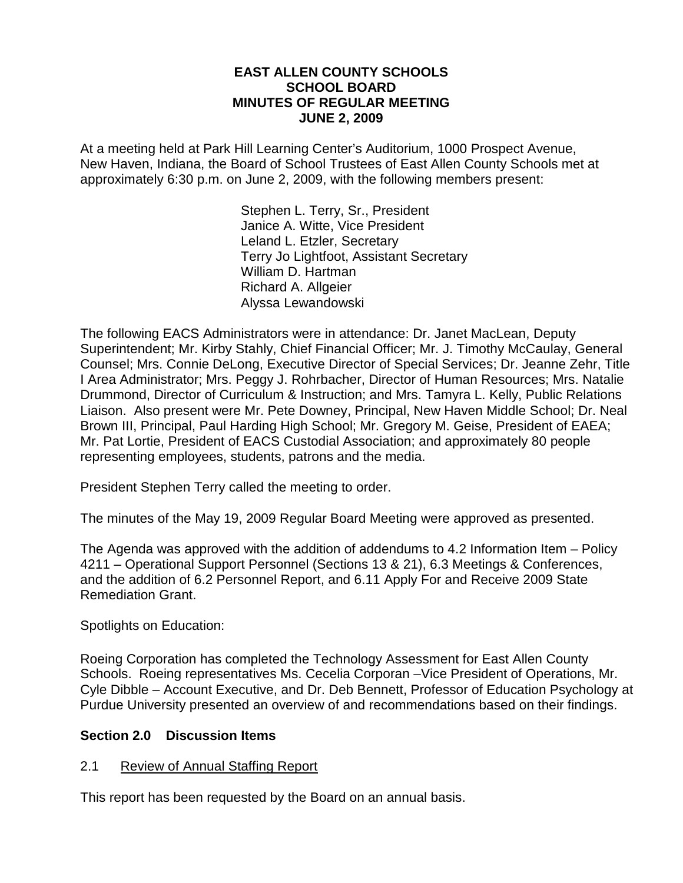#### **EAST ALLEN COUNTY SCHOOLS SCHOOL BOARD MINUTES OF REGULAR MEETING JUNE 2, 2009**

At a meeting held at Park Hill Learning Center's Auditorium, 1000 Prospect Avenue, New Haven, Indiana, the Board of School Trustees of East Allen County Schools met at approximately 6:30 p.m. on June 2, 2009, with the following members present:

> Stephen L. Terry, Sr., President Janice A. Witte, Vice President Leland L. Etzler, Secretary Terry Jo Lightfoot, Assistant Secretary William D. Hartman Richard A. Allgeier Alyssa Lewandowski

The following EACS Administrators were in attendance: Dr. Janet MacLean, Deputy Superintendent; Mr. Kirby Stahly, Chief Financial Officer; Mr. J. Timothy McCaulay, General Counsel; Mrs. Connie DeLong, Executive Director of Special Services; Dr. Jeanne Zehr, Title I Area Administrator; Mrs. Peggy J. Rohrbacher, Director of Human Resources; Mrs. Natalie Drummond, Director of Curriculum & Instruction; and Mrs. Tamyra L. Kelly, Public Relations Liaison. Also present were Mr. Pete Downey, Principal, New Haven Middle School; Dr. Neal Brown III, Principal, Paul Harding High School; Mr. Gregory M. Geise, President of EAEA; Mr. Pat Lortie, President of EACS Custodial Association; and approximately 80 people representing employees, students, patrons and the media.

President Stephen Terry called the meeting to order.

The minutes of the May 19, 2009 Regular Board Meeting were approved as presented.

The Agenda was approved with the addition of addendums to 4.2 Information Item – Policy 4211 – Operational Support Personnel (Sections 13 & 21), 6.3 Meetings & Conferences, and the addition of 6.2 Personnel Report, and 6.11 Apply For and Receive 2009 State Remediation Grant.

Spotlights on Education:

Roeing Corporation has completed the Technology Assessment for East Allen County Schools. Roeing representatives Ms. Cecelia Corporan –Vice President of Operations, Mr. Cyle Dibble – Account Executive, and Dr. Deb Bennett, Professor of Education Psychology at Purdue University presented an overview of and recommendations based on their findings.

# **Section 2.0 Discussion Items**

# 2.1 Review of Annual Staffing Report

This report has been requested by the Board on an annual basis.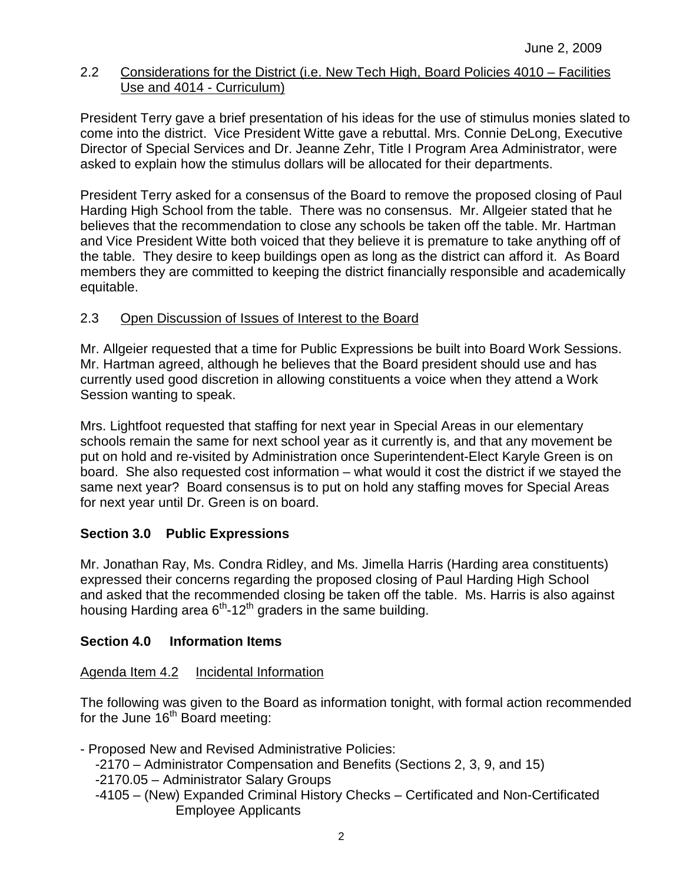### 2.2 Considerations for the District (i.e. New Tech High, Board Policies 4010 – Facilities Use and 4014 - Curriculum)

President Terry gave a brief presentation of his ideas for the use of stimulus monies slated to come into the district. Vice President Witte gave a rebuttal. Mrs. Connie DeLong, Executive Director of Special Services and Dr. Jeanne Zehr, Title I Program Area Administrator, were asked to explain how the stimulus dollars will be allocated for their departments.

President Terry asked for a consensus of the Board to remove the proposed closing of Paul Harding High School from the table. There was no consensus. Mr. Allgeier stated that he believes that the recommendation to close any schools be taken off the table. Mr. Hartman and Vice President Witte both voiced that they believe it is premature to take anything off of the table. They desire to keep buildings open as long as the district can afford it. As Board members they are committed to keeping the district financially responsible and academically equitable.

### 2.3 Open Discussion of Issues of Interest to the Board

Mr. Allgeier requested that a time for Public Expressions be built into Board Work Sessions. Mr. Hartman agreed, although he believes that the Board president should use and has currently used good discretion in allowing constituents a voice when they attend a Work Session wanting to speak.

Mrs. Lightfoot requested that staffing for next year in Special Areas in our elementary schools remain the same for next school year as it currently is, and that any movement be put on hold and re-visited by Administration once Superintendent-Elect Karyle Green is on board. She also requested cost information – what would it cost the district if we stayed the same next year? Board consensus is to put on hold any staffing moves for Special Areas for next year until Dr. Green is on board.

# **Section 3.0 Public Expressions**

Mr. Jonathan Ray, Ms. Condra Ridley, and Ms. Jimella Harris (Harding area constituents) expressed their concerns regarding the proposed closing of Paul Harding High School and asked that the recommended closing be taken off the table. Ms. Harris is also against housing Harding area  $6<sup>th</sup>$ -12<sup>th</sup> graders in the same building.

# **Section 4.0 Information Items**

### Agenda Item 4.2 Incidental Information

The following was given to the Board as information tonight, with formal action recommended for the June  $16<sup>th</sup>$  Board meeting:

- Proposed New and Revised Administrative Policies: -2170 – Administrator Compensation and Benefits (Sections 2, 3, 9, and 15) -2170.05 – Administrator Salary Groups -4105 – (New) Expanded Criminal History Checks – Certificated and Non-Certificated Employee Applicants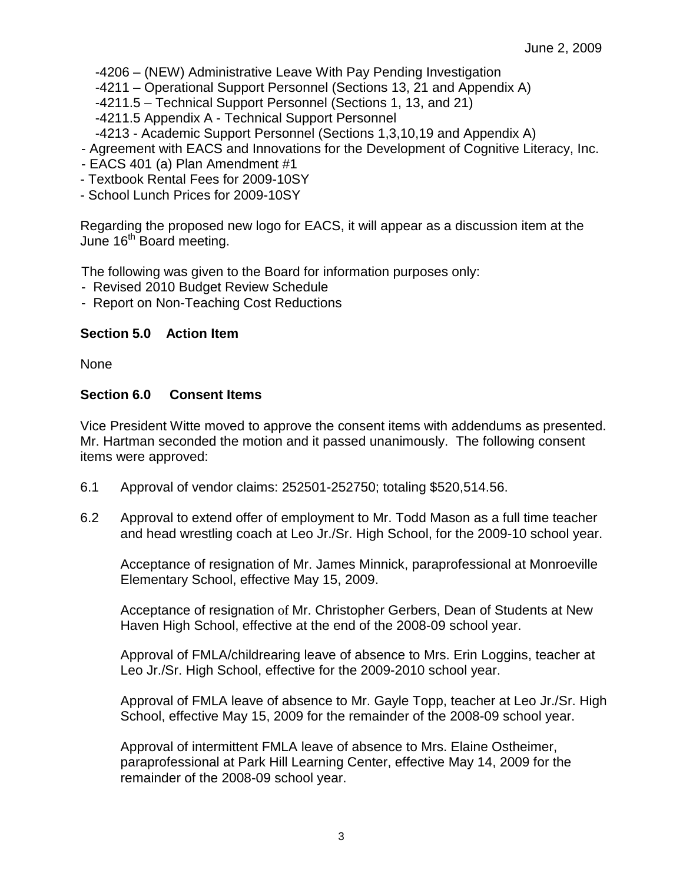-4206 – (NEW) Administrative Leave With Pay Pending Investigation

-4211 – Operational Support Personnel (Sections 13, 21 and Appendix A)

-4211.5 – Technical Support Personnel (Sections 1, 13, and 21)

- -4211.5 Appendix A Technical Support Personnel
- -4213 Academic Support Personnel (Sections 1,3,10,19 and Appendix A)
- Agreement with EACS and Innovations for the Development of Cognitive Literacy, Inc.
- EACS 401 (a) Plan Amendment #1
- Textbook Rental Fees for 2009-10SY
- School Lunch Prices for 2009-10SY

Regarding the proposed new logo for EACS, it will appear as a discussion item at the June  $16<sup>th</sup>$  Board meeting.

The following was given to the Board for information purposes only:

- Revised 2010 Budget Review Schedule
- Report on Non-Teaching Cost Reductions

### **Section 5.0 Action Item**

None

# **Section 6.0 Consent Items**

Vice President Witte moved to approve the consent items with addendums as presented. Mr. Hartman seconded the motion and it passed unanimously. The following consent items were approved:

- 6.1 Approval of vendor claims: 252501-252750; totaling \$520,514.56.
- 6.2 Approval to extend offer of employment to Mr. Todd Mason as a full time teacher and head wrestling coach at Leo Jr./Sr. High School, for the 2009-10 school year.

 Acceptance of resignation of Mr. James Minnick, paraprofessional at Monroeville Elementary School, effective May 15, 2009.

Acceptance of resignation of Mr. Christopher Gerbers, Dean of Students at New Haven High School, effective at the end of the 2008-09 school year.

 Approval of FMLA/childrearing leave of absence to Mrs. Erin Loggins, teacher at Leo Jr./Sr. High School, effective for the 2009-2010 school year.

Approval of FMLA leave of absence to Mr. Gayle Topp, teacher at Leo Jr./Sr. High School, effective May 15, 2009 for the remainder of the 2008-09 school year.

Approval of intermittent FMLA leave of absence to Mrs. Elaine Ostheimer, paraprofessional at Park Hill Learning Center, effective May 14, 2009 for the remainder of the 2008-09 school year.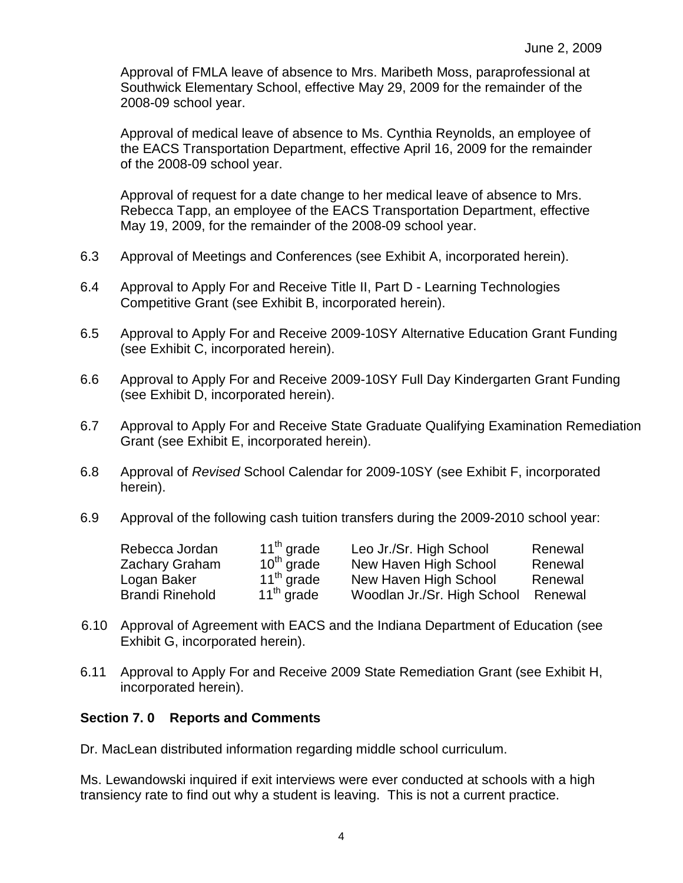Approval of FMLA leave of absence to Mrs. Maribeth Moss, paraprofessional at Southwick Elementary School, effective May 29, 2009 for the remainder of the 2008-09 school year.

Approval of medical leave of absence to Ms. Cynthia Reynolds, an employee of the EACS Transportation Department, effective April 16, 2009 for the remainder of the 2008-09 school year.

Approval of request for a date change to her medical leave of absence to Mrs. Rebecca Tapp, an employee of the EACS Transportation Department, effective May 19, 2009, for the remainder of the 2008-09 school year.

- 6.3 Approval of Meetings and Conferences (see Exhibit A, incorporated herein).
- 6.4 Approval to Apply For and Receive Title II, Part D Learning Technologies Competitive Grant (see Exhibit B, incorporated herein).
- 6.5 Approval to Apply For and Receive 2009-10SY Alternative Education Grant Funding (see Exhibit C, incorporated herein).
- 6.6 Approval to Apply For and Receive 2009-10SY Full Day Kindergarten Grant Funding (see Exhibit D, incorporated herein).
- 6.7 Approval to Apply For and Receive State Graduate Qualifying Examination Remediation Grant (see Exhibit E, incorporated herein).
- 6.8 Approval of Revised School Calendar for 2009-10SY (see Exhibit F, incorporated herein).
- 6.9 Approval of the following cash tuition transfers during the 2009-2010 school year:

| Rebecca Jordan         | $11^{th}$ grade | Leo Jr./Sr. High School     | Renewal |
|------------------------|-----------------|-----------------------------|---------|
| Zachary Graham         | $10^{th}$ grade | New Haven High School       | Renewal |
| Logan Baker            | $11^{th}$ grade | New Haven High School       | Renewal |
| <b>Brandi Rinehold</b> | $11th$ grade    | Woodlan Jr./Sr. High School | Renewal |

- 6.10 Approval of Agreement with EACS and the Indiana Department of Education (see Exhibit G, incorporated herein).
- 6.11 Approval to Apply For and Receive 2009 State Remediation Grant (see Exhibit H, incorporated herein).

### **Section 7. 0 Reports and Comments**

Dr. MacLean distributed information regarding middle school curriculum.

Ms. Lewandowski inquired if exit interviews were ever conducted at schools with a high transiency rate to find out why a student is leaving. This is not a current practice.